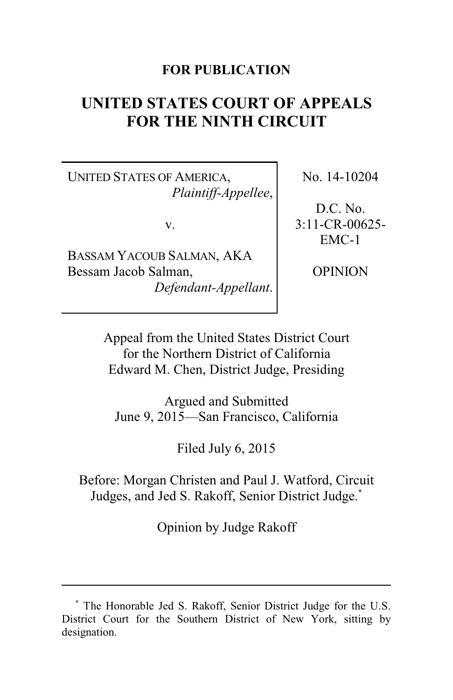## **FOR PUBLICATION**

# **UNITED STATES COURT OF APPEALS FOR THE NINTH CIRCUIT**

UNITED STATES OF AMERICA, *Plaintiff-Appellee*,

v.

BASSAM YACOUB SALMAN, AKA Bessam Jacob Salman, *Defendant-Appellant*. No. 14-10204

D.C. No. 3:11-CR-00625- EMC-1

OPINION

Appeal from the United States District Court for the Northern District of California Edward M. Chen, District Judge, Presiding

Argued and Submitted June 9, 2015—San Francisco, California

Filed July 6, 2015

Before: Morgan Christen and Paul J. Watford, Circuit Judges, and Jed S. Rakoff, Senior District Judge. **\***

Opinion by Judge Rakoff

**<sup>\*</sup>** The Honorable Jed S. Rakoff, Senior District Judge for the U.S. District Court for the Southern District of New York, sitting by designation.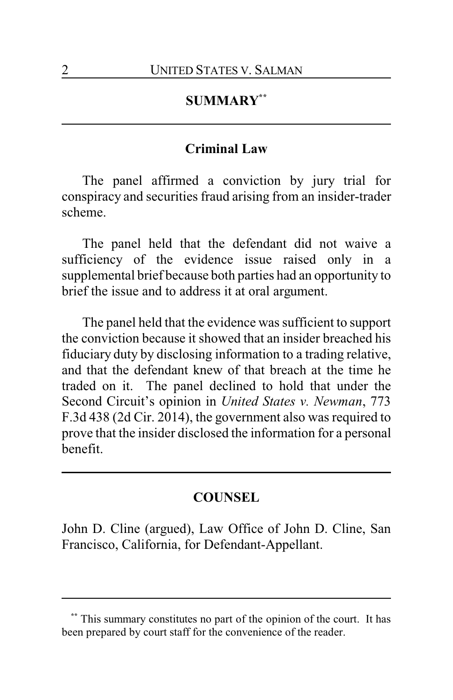## **SUMMARY\*\***

## **Criminal Law**

The panel affirmed a conviction by jury trial for conspiracy and securities fraud arising from an insider-trader scheme.

The panel held that the defendant did not waive a sufficiency of the evidence issue raised only in a supplemental brief because both parties had an opportunity to brief the issue and to address it at oral argument.

The panel held that the evidence was sufficient to support the conviction because it showed that an insider breached his fiduciary duty by disclosing information to a trading relative, and that the defendant knew of that breach at the time he traded on it. The panel declined to hold that under the Second Circuit's opinion in *United States v. Newman*, 773 F.3d 438 (2d Cir. 2014), the government also was required to prove that the insider disclosed the information for a personal benefit.

## **COUNSEL**

John D. Cline (argued), Law Office of John D. Cline, San Francisco, California, for Defendant-Appellant.

This summary constitutes no part of the opinion of the court. It has been prepared by court staff for the convenience of the reader.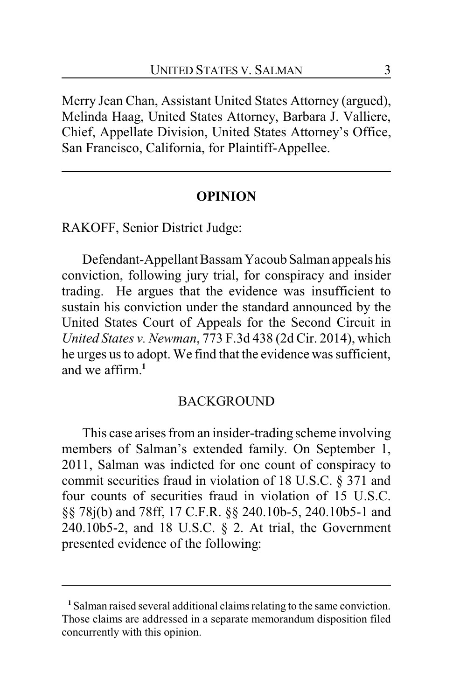Merry Jean Chan, Assistant United States Attorney (argued), Melinda Haag, United States Attorney, Barbara J. Valliere, Chief, Appellate Division, United States Attorney's Office, San Francisco, California, for Plaintiff-Appellee.

#### **OPINION**

RAKOFF, Senior District Judge:

Defendant-Appellant Bassam Yacoub Salman appeals his conviction, following jury trial, for conspiracy and insider trading. He argues that the evidence was insufficient to sustain his conviction under the standard announced by the United States Court of Appeals for the Second Circuit in *United States v. Newman*, 773 F.3d 438 (2d Cir. 2014), which he urges us to adopt. We find that the evidence was sufficient, and we affirm.**<sup>1</sup>**

### **BACKGROUND**

This case arises from an insider-trading scheme involving members of Salman's extended family. On September 1, 2011, Salman was indicted for one count of conspiracy to commit securities fraud in violation of 18 U.S.C. § 371 and four counts of securities fraud in violation of 15 U.S.C. §§ 78j(b) and 78ff, 17 C.F.R. §§ 240.10b-5, 240.10b5-1 and 240.10b5-2, and 18 U.S.C. § 2. At trial, the Government presented evidence of the following:

**<sup>1</sup>** Salman raised several additional claims relating to the same conviction. Those claims are addressed in a separate memorandum disposition filed concurrently with this opinion.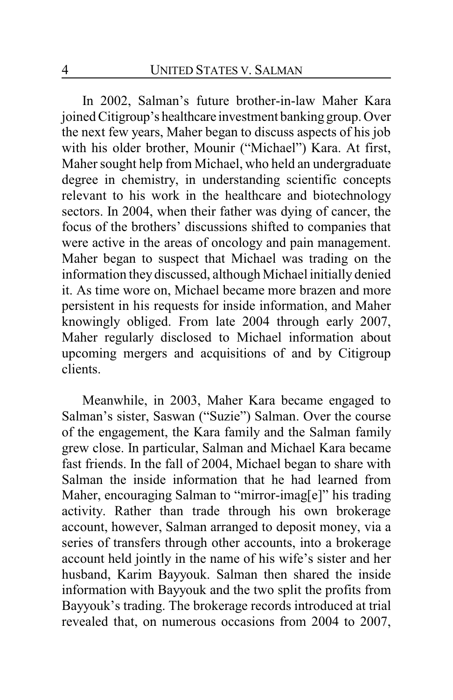In 2002, Salman's future brother-in-law Maher Kara joined Citigroup's healthcare investment banking group. Over the next few years, Maher began to discuss aspects of his job with his older brother, Mounir ("Michael") Kara. At first, Maher sought help from Michael, who held an undergraduate degree in chemistry, in understanding scientific concepts relevant to his work in the healthcare and biotechnology sectors. In 2004, when their father was dying of cancer, the focus of the brothers' discussions shifted to companies that were active in the areas of oncology and pain management. Maher began to suspect that Michael was trading on the information they discussed, although Michael initially denied it. As time wore on, Michael became more brazen and more persistent in his requests for inside information, and Maher knowingly obliged. From late 2004 through early 2007, Maher regularly disclosed to Michael information about upcoming mergers and acquisitions of and by Citigroup clients.

Meanwhile, in 2003, Maher Kara became engaged to Salman's sister, Saswan ("Suzie") Salman. Over the course of the engagement, the Kara family and the Salman family grew close. In particular, Salman and Michael Kara became fast friends. In the fall of 2004, Michael began to share with Salman the inside information that he had learned from Maher, encouraging Salman to "mirror-imag[e]" his trading activity. Rather than trade through his own brokerage account, however, Salman arranged to deposit money, via a series of transfers through other accounts, into a brokerage account held jointly in the name of his wife's sister and her husband, Karim Bayyouk. Salman then shared the inside information with Bayyouk and the two split the profits from Bayyouk's trading. The brokerage records introduced at trial revealed that, on numerous occasions from 2004 to 2007,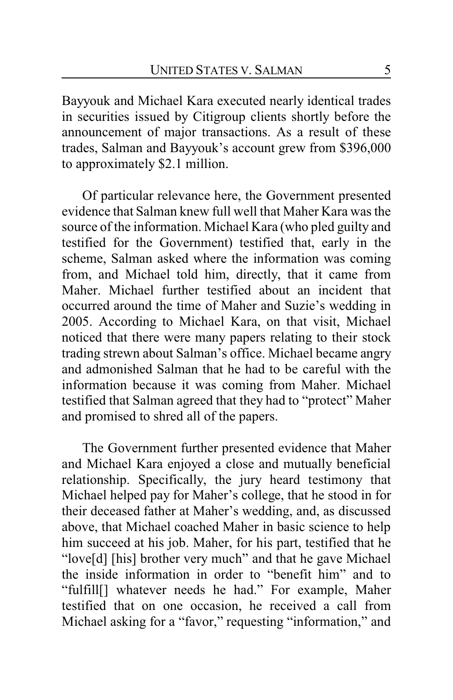Bayyouk and Michael Kara executed nearly identical trades in securities issued by Citigroup clients shortly before the announcement of major transactions. As a result of these trades, Salman and Bayyouk's account grew from \$396,000 to approximately \$2.1 million.

Of particular relevance here, the Government presented evidence that Salman knew full well that Maher Kara was the source of the information. Michael Kara (who pled guilty and testified for the Government) testified that, early in the scheme, Salman asked where the information was coming from, and Michael told him, directly, that it came from Maher. Michael further testified about an incident that occurred around the time of Maher and Suzie's wedding in 2005. According to Michael Kara, on that visit, Michael noticed that there were many papers relating to their stock trading strewn about Salman's office. Michael became angry and admonished Salman that he had to be careful with the information because it was coming from Maher. Michael testified that Salman agreed that they had to "protect" Maher and promised to shred all of the papers.

The Government further presented evidence that Maher and Michael Kara enjoyed a close and mutually beneficial relationship. Specifically, the jury heard testimony that Michael helped pay for Maher's college, that he stood in for their deceased father at Maher's wedding, and, as discussed above, that Michael coached Maher in basic science to help him succeed at his job. Maher, for his part, testified that he "love[d] [his] brother very much" and that he gave Michael the inside information in order to "benefit him" and to "fulfill[] whatever needs he had." For example, Maher testified that on one occasion, he received a call from Michael asking for a "favor," requesting "information," and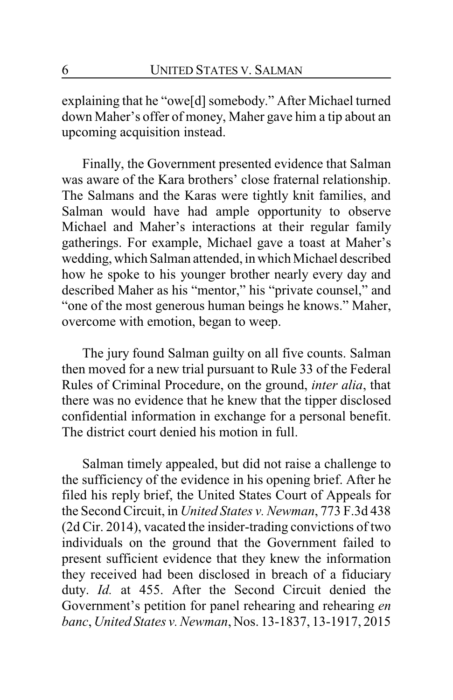explaining that he "owe[d] somebody." After Michael turned down Maher's offer of money, Maher gave him a tip about an upcoming acquisition instead.

Finally, the Government presented evidence that Salman was aware of the Kara brothers' close fraternal relationship. The Salmans and the Karas were tightly knit families, and Salman would have had ample opportunity to observe Michael and Maher's interactions at their regular family gatherings. For example, Michael gave a toast at Maher's wedding, which Salman attended, in which Michael described how he spoke to his younger brother nearly every day and described Maher as his "mentor," his "private counsel," and "one of the most generous human beings he knows." Maher, overcome with emotion, began to weep.

The jury found Salman guilty on all five counts. Salman then moved for a new trial pursuant to Rule 33 of the Federal Rules of Criminal Procedure, on the ground, *inter alia*, that there was no evidence that he knew that the tipper disclosed confidential information in exchange for a personal benefit. The district court denied his motion in full.

Salman timely appealed, but did not raise a challenge to the sufficiency of the evidence in his opening brief. After he filed his reply brief, the United States Court of Appeals for the Second Circuit, in *United States v. Newman*, 773 F.3d 438 (2d Cir. 2014), vacated the insider-trading convictions of two individuals on the ground that the Government failed to present sufficient evidence that they knew the information they received had been disclosed in breach of a fiduciary duty. *Id.* at 455. After the Second Circuit denied the Government's petition for panel rehearing and rehearing *en banc*, *United States v. Newman*, Nos. 13-1837, 13-1917, 2015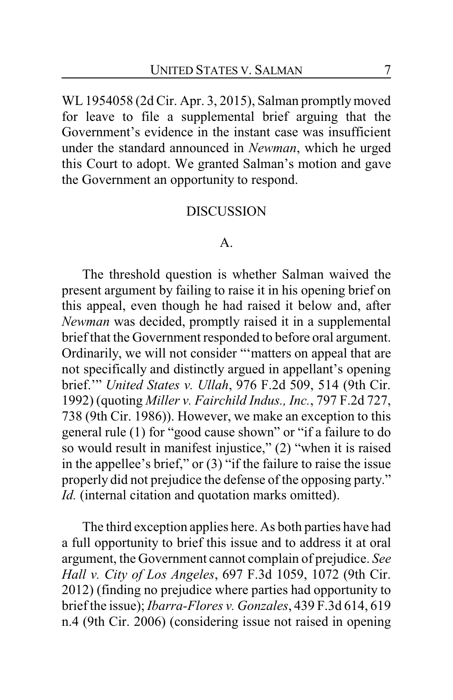WL 1954058 (2d Cir. Apr. 3, 2015), Salman promptly moved for leave to file a supplemental brief arguing that the Government's evidence in the instant case was insufficient under the standard announced in *Newman*, which he urged this Court to adopt. We granted Salman's motion and gave the Government an opportunity to respond.

#### DISCUSSION

#### A.

The threshold question is whether Salman waived the present argument by failing to raise it in his opening brief on this appeal, even though he had raised it below and, after *Newman* was decided, promptly raised it in a supplemental brief that the Government responded to before oral argument. Ordinarily, we will not consider "'matters on appeal that are not specifically and distinctly argued in appellant's opening brief.'" *United States v. Ullah*, 976 F.2d 509, 514 (9th Cir. 1992) (quoting *Miller v. Fairchild Indus., Inc.*, 797 F.2d 727, 738 (9th Cir. 1986)). However, we make an exception to this general rule (1) for "good cause shown" or "if a failure to do so would result in manifest injustice," (2) "when it is raised in the appellee's brief," or (3) "if the failure to raise the issue properly did not prejudice the defense of the opposing party." *Id.* (internal citation and quotation marks omitted).

The third exception applies here. As both parties have had a full opportunity to brief this issue and to address it at oral argument, the Government cannot complain of prejudice. *See Hall v. City of Los Angeles*, 697 F.3d 1059, 1072 (9th Cir. 2012) (finding no prejudice where parties had opportunity to brief the issue); *Ibarra-Flores v. Gonzales*, 439 F.3d 614, 619 n.4 (9th Cir. 2006) (considering issue not raised in opening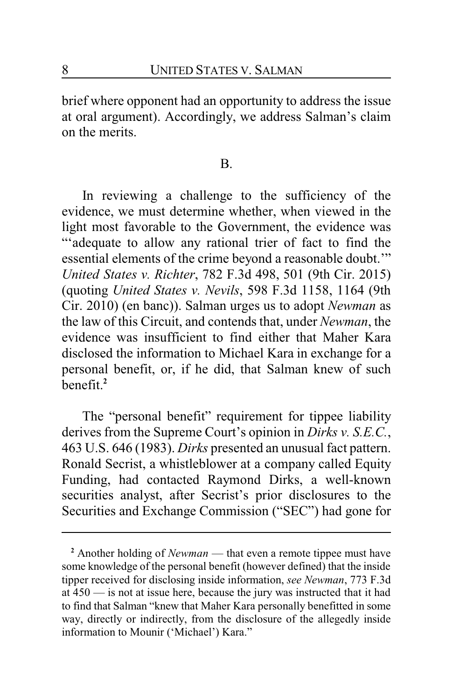brief where opponent had an opportunity to address the issue at oral argument). Accordingly, we address Salman's claim on the merits.

#### B.

In reviewing a challenge to the sufficiency of the evidence, we must determine whether, when viewed in the light most favorable to the Government, the evidence was "'adequate to allow any rational trier of fact to find the essential elements of the crime beyond a reasonable doubt.'" *United States v. Richter*, 782 F.3d 498, 501 (9th Cir. 2015) (quoting *United States v. Nevils*, 598 F.3d 1158, 1164 (9th Cir. 2010) (en banc)). Salman urges us to adopt *Newman* as the law of this Circuit, and contends that, under *Newman*, the evidence was insufficient to find either that Maher Kara disclosed the information to Michael Kara in exchange for a personal benefit, or, if he did, that Salman knew of such benefit.**<sup>2</sup>**

The "personal benefit" requirement for tippee liability derives from the Supreme Court's opinion in *Dirks v. S.E.C.*, 463 U.S. 646 (1983). *Dirks* presented an unusual fact pattern. Ronald Secrist, a whistleblower at a company called Equity Funding, had contacted Raymond Dirks, a well-known securities analyst, after Secrist's prior disclosures to the Securities and Exchange Commission ("SEC") had gone for

**<sup>2</sup>** Another holding of *Newman* — that even a remote tippee must have some knowledge of the personal benefit (however defined) that the inside tipper received for disclosing inside information, *see Newman*, 773 F.3d at 450 — is not at issue here, because the jury was instructed that it had to find that Salman "knew that Maher Kara personally benefitted in some way, directly or indirectly, from the disclosure of the allegedly inside information to Mounir ('Michael') Kara."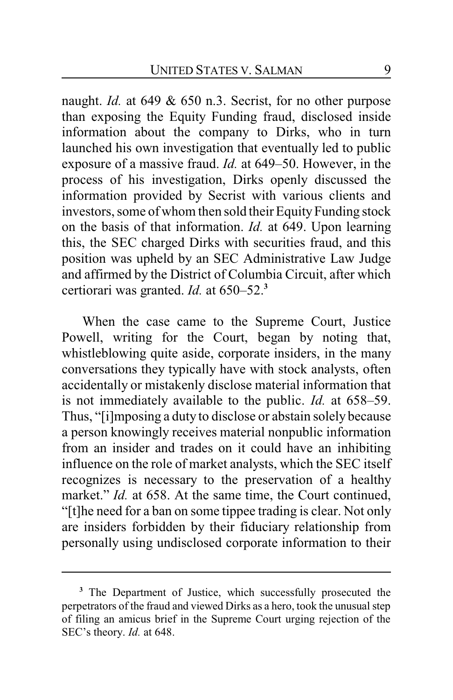naught. *Id.* at 649 & 650 n.3. Secrist, for no other purpose than exposing the Equity Funding fraud, disclosed inside information about the company to Dirks, who in turn launched his own investigation that eventually led to public exposure of a massive fraud. *Id.* at 649–50. However, in the process of his investigation, Dirks openly discussed the information provided by Secrist with various clients and investors, some of whom then sold their Equity Funding stock on the basis of that information. *Id.* at 649. Upon learning this, the SEC charged Dirks with securities fraud, and this position was upheld by an SEC Administrative Law Judge and affirmed by the District of Columbia Circuit, after which certiorari was granted. *Id.* at 650–52.**<sup>3</sup>**

When the case came to the Supreme Court, Justice Powell, writing for the Court, began by noting that, whistleblowing quite aside, corporate insiders, in the many conversations they typically have with stock analysts, often accidentally or mistakenly disclose material information that is not immediately available to the public. *Id.* at 658–59. Thus, "[i]mposing a duty to disclose or abstain solely because a person knowingly receives material nonpublic information from an insider and trades on it could have an inhibiting influence on the role of market analysts, which the SEC itself recognizes is necessary to the preservation of a healthy market." *Id.* at 658. At the same time, the Court continued, "[t]he need for a ban on some tippee trading is clear. Not only are insiders forbidden by their fiduciary relationship from personally using undisclosed corporate information to their

**<sup>3</sup>** The Department of Justice, which successfully prosecuted the perpetrators of the fraud and viewed Dirks as a hero, took the unusual step of filing an amicus brief in the Supreme Court urging rejection of the SEC's theory. *Id.* at 648.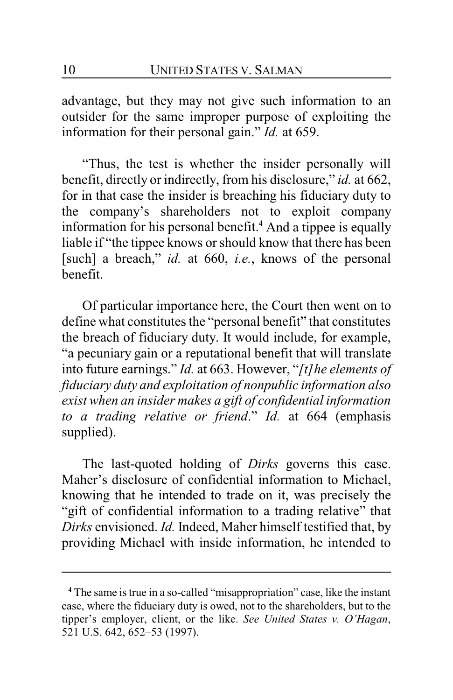advantage, but they may not give such information to an outsider for the same improper purpose of exploiting the information for their personal gain." *Id.* at 659.

"Thus, the test is whether the insider personally will benefit, directly or indirectly, from his disclosure," *id.* at 662, for in that case the insider is breaching his fiduciary duty to the company's shareholders not to exploit company information for his personal benefit.**<sup>4</sup>** And a tippee is equally liable if "the tippee knows or should know that there has been [such] a breach," *id.* at 660, *i.e.*, knows of the personal benefit.

Of particular importance here, the Court then went on to define what constitutes the "personal benefit" that constitutes the breach of fiduciary duty. It would include, for example, "a pecuniary gain or a reputational benefit that will translate into future earnings." *Id.* at 663. However, "*[t]he elements of fiduciary duty and exploitation of nonpublic information also exist when an insider makes a gift of confidential information to a trading relative or friend*." *Id.* at 664 (emphasis supplied).

The last-quoted holding of *Dirks* governs this case. Maher's disclosure of confidential information to Michael, knowing that he intended to trade on it, was precisely the "gift of confidential information to a trading relative" that *Dirks* envisioned. *Id.* Indeed, Maher himself testified that, by providing Michael with inside information, he intended to

**<sup>4</sup>** The same is true in a so-called "misappropriation" case, like the instant case, where the fiduciary duty is owed, not to the shareholders, but to the tipper's employer, client, or the like. *See United States v. O'Hagan*, 521 U.S. 642, 652–53 (1997).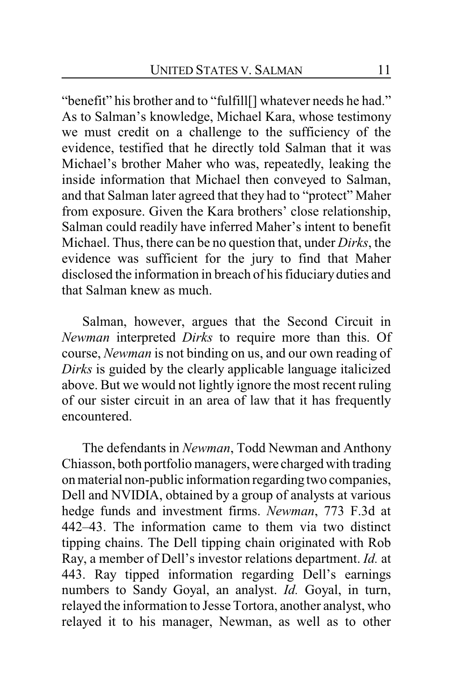"benefit" his brother and to "fulfill[] whatever needs he had." As to Salman's knowledge, Michael Kara, whose testimony we must credit on a challenge to the sufficiency of the evidence, testified that he directly told Salman that it was Michael's brother Maher who was, repeatedly, leaking the inside information that Michael then conveyed to Salman, and that Salman later agreed that they had to "protect" Maher from exposure. Given the Kara brothers' close relationship, Salman could readily have inferred Maher's intent to benefit Michael. Thus, there can be no question that, under *Dirks*, the evidence was sufficient for the jury to find that Maher disclosed the information in breach of his fiduciaryduties and that Salman knew as much.

Salman, however, argues that the Second Circuit in *Newman* interpreted *Dirks* to require more than this. Of course, *Newman* is not binding on us, and our own reading of *Dirks* is guided by the clearly applicable language italicized above. But we would not lightly ignore the most recent ruling of our sister circuit in an area of law that it has frequently encountered.

The defendants in *Newman*, Todd Newman and Anthony Chiasson, both portfolio managers, were charged with trading on material non-public information regarding two companies, Dell and NVIDIA, obtained by a group of analysts at various hedge funds and investment firms. *Newman*, 773 F.3d at 442–43. The information came to them via two distinct tipping chains. The Dell tipping chain originated with Rob Ray, a member of Dell's investor relations department. *Id.* at 443. Ray tipped information regarding Dell's earnings numbers to Sandy Goyal, an analyst. *Id.* Goyal, in turn, relayed the information to Jesse Tortora, another analyst, who relayed it to his manager, Newman, as well as to other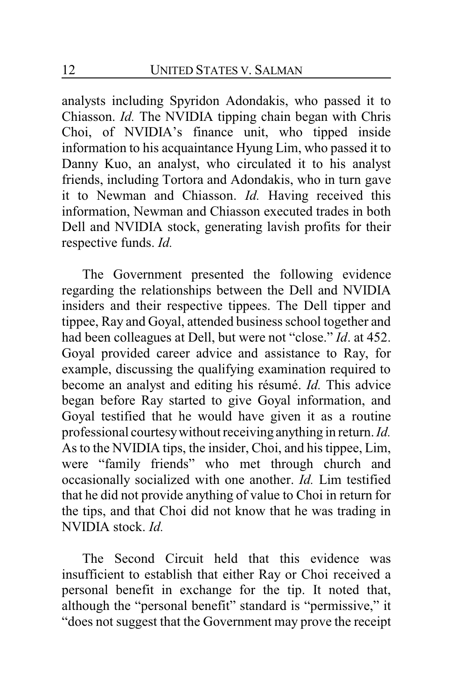analysts including Spyridon Adondakis, who passed it to Chiasson. *Id.* The NVIDIA tipping chain began with Chris Choi, of NVIDIA's finance unit, who tipped inside information to his acquaintance Hyung Lim, who passed it to Danny Kuo, an analyst, who circulated it to his analyst friends, including Tortora and Adondakis, who in turn gave it to Newman and Chiasson. *Id.* Having received this information, Newman and Chiasson executed trades in both Dell and NVIDIA stock, generating lavish profits for their respective funds. *Id.*

The Government presented the following evidence regarding the relationships between the Dell and NVIDIA insiders and their respective tippees. The Dell tipper and tippee, Ray and Goyal, attended business school together and had been colleagues at Dell, but were not "close." *Id*. at 452. Goyal provided career advice and assistance to Ray, for example, discussing the qualifying examination required to become an analyst and editing his résumé. *Id.* This advice began before Ray started to give Goyal information, and Goyal testified that he would have given it as a routine professional courtesywithout receiving anything in return. *Id.* As to the NVIDIA tips, the insider, Choi, and his tippee, Lim, were "family friends" who met through church and occasionally socialized with one another. *Id.* Lim testified that he did not provide anything of value to Choi in return for the tips, and that Choi did not know that he was trading in NVIDIA stock. *Id.*

The Second Circuit held that this evidence was insufficient to establish that either Ray or Choi received a personal benefit in exchange for the tip. It noted that, although the "personal benefit" standard is "permissive," it "does not suggest that the Government may prove the receipt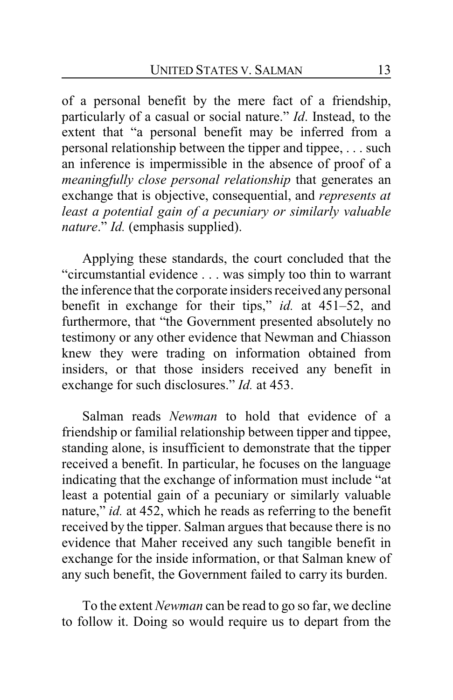of a personal benefit by the mere fact of a friendship, particularly of a casual or social nature." *Id*. Instead, to the extent that "a personal benefit may be inferred from a personal relationship between the tipper and tippee, . . . such an inference is impermissible in the absence of proof of a *meaningfully close personal relationship* that generates an exchange that is objective, consequential, and *represents at least a potential gain of a pecuniary or similarly valuable nature.*" *Id.* (emphasis supplied).

Applying these standards, the court concluded that the "circumstantial evidence . . . was simply too thin to warrant the inference that the corporate insiders received any personal benefit in exchange for their tips," *id.* at 451–52, and furthermore, that "the Government presented absolutely no testimony or any other evidence that Newman and Chiasson knew they were trading on information obtained from insiders, or that those insiders received any benefit in exchange for such disclosures." *Id.* at 453.

Salman reads *Newman* to hold that evidence of a friendship or familial relationship between tipper and tippee, standing alone, is insufficient to demonstrate that the tipper received a benefit. In particular, he focuses on the language indicating that the exchange of information must include "at least a potential gain of a pecuniary or similarly valuable nature," *id.* at 452, which he reads as referring to the benefit received by the tipper. Salman argues that because there is no evidence that Maher received any such tangible benefit in exchange for the inside information, or that Salman knew of any such benefit, the Government failed to carry its burden.

To the extent *Newman* can be read to go so far, we decline to follow it. Doing so would require us to depart from the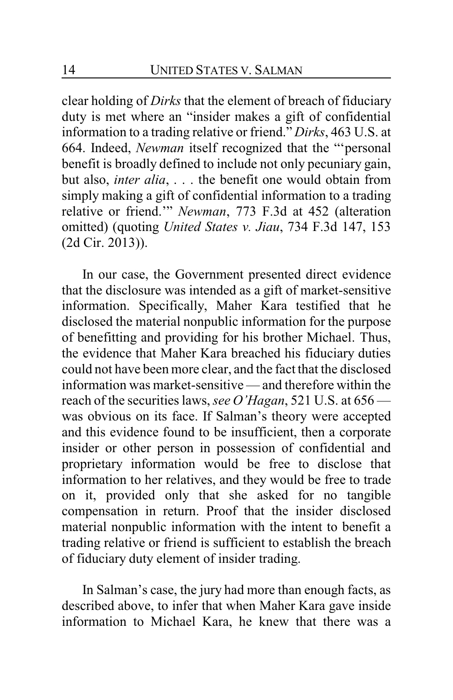clear holding of *Dirks* that the element of breach of fiduciary duty is met where an "insider makes a gift of confidential information to a trading relative or friend." *Dirks*, 463 U.S. at 664. Indeed, *Newman* itself recognized that the "'personal benefit is broadly defined to include not only pecuniary gain, but also, *inter alia*, . . . the benefit one would obtain from simply making a gift of confidential information to a trading relative or friend.'" *Newman*, 773 F.3d at 452 (alteration omitted) (quoting *United States v. Jiau*, 734 F.3d 147, 153 (2d Cir. 2013)).

In our case, the Government presented direct evidence that the disclosure was intended as a gift of market-sensitive information. Specifically, Maher Kara testified that he disclosed the material nonpublic information for the purpose of benefitting and providing for his brother Michael. Thus, the evidence that Maher Kara breached his fiduciary duties could not have been more clear, and the fact that the disclosed information was market-sensitive — and therefore within the reach of the securities laws, *see O'Hagan*, 521 U.S. at 656 was obvious on its face. If Salman's theory were accepted and this evidence found to be insufficient, then a corporate insider or other person in possession of confidential and proprietary information would be free to disclose that information to her relatives, and they would be free to trade on it, provided only that she asked for no tangible compensation in return. Proof that the insider disclosed material nonpublic information with the intent to benefit a trading relative or friend is sufficient to establish the breach of fiduciary duty element of insider trading.

In Salman's case, the jury had more than enough facts, as described above, to infer that when Maher Kara gave inside information to Michael Kara, he knew that there was a